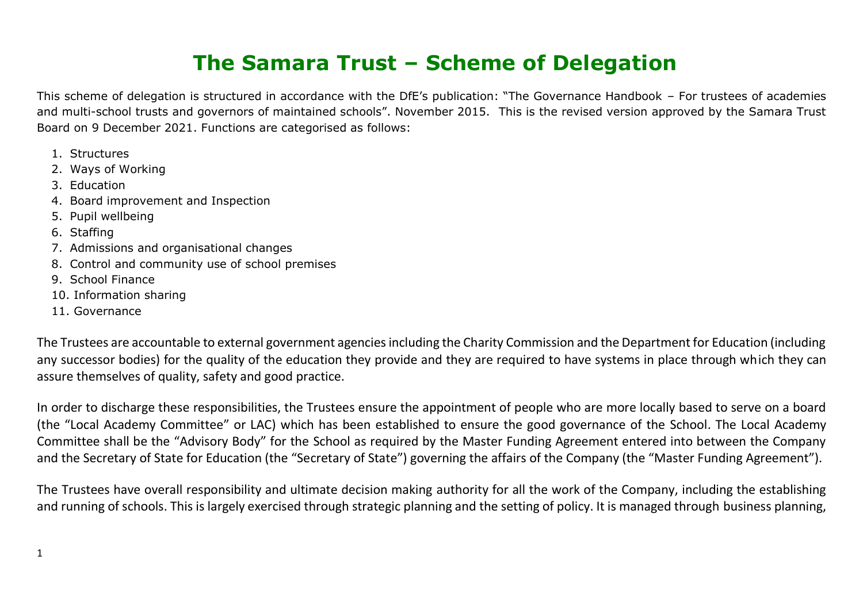## **The Samara Trust – Scheme of Delegation**

This scheme of delegation is structured in accordance with the DfE's publication: "The Governance Handbook – For trustees of academies and multi-school trusts and governors of maintained schools". November 2015. This is the revised version approved by the Samara Trust Board on 9 December 2021. Functions are categorised as follows:

- 1. Structures
- 2. Ways of Working
- 3. Education
- 4. Board improvement and Inspection
- 5. Pupil wellbeing
- 6. Staffing
- 7. Admissions and organisational changes
- 8. Control and community use of school premises
- 9. School Finance
- 10. Information sharing
- 11. Governance

The Trustees are accountable to external government agencies including the Charity Commission and the Department for Education (including any successor bodies) for the quality of the education they provide and they are required to have systems in place through which they can assure themselves of quality, safety and good practice.

In order to discharge these responsibilities, the Trustees ensure the appointment of people who are more locally based to serve on a board (the "Local Academy Committee" or LAC) which has been established to ensure the good governance of the School. The Local Academy Committee shall be the "Advisory Body" for the School as required by the Master Funding Agreement entered into between the Company and the Secretary of State for Education (the "Secretary of State") governing the affairs of the Company (the "Master Funding Agreement").

The Trustees have overall responsibility and ultimate decision making authority for all the work of the Company, including the establishing and running of schools. This is largely exercised through strategic planning and the setting of policy. It is managed through business planning,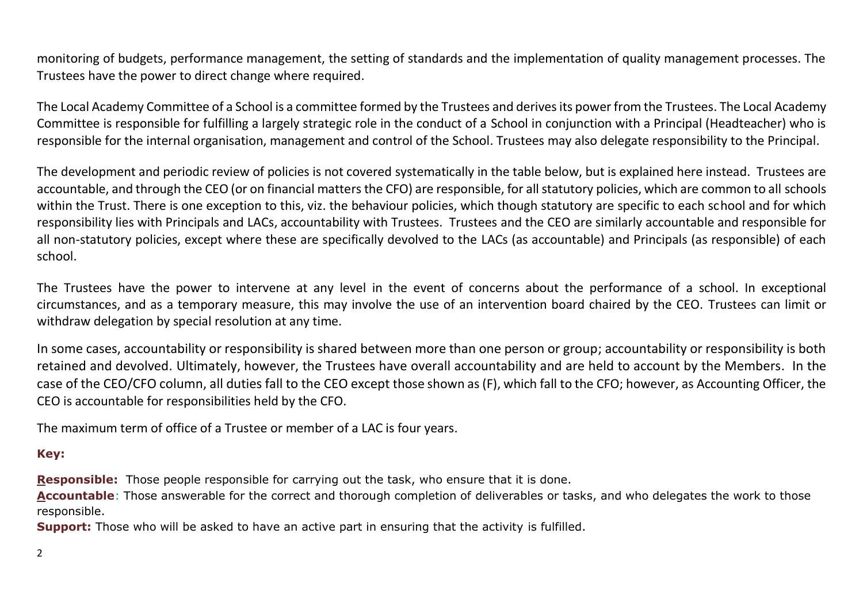monitoring of budgets, performance management, the setting of standards and the implementation of quality management processes. The Trustees have the power to direct change where required.

The Local Academy Committee of a School is a committee formed by the Trustees and derives its power from the Trustees. The Local Academy Committee is responsible for fulfilling a largely strategic role in the conduct of a School in conjunction with a Principal (Headteacher) who is responsible for the internal organisation, management and control of the School. Trustees may also delegate responsibility to the Principal.

The development and periodic review of policies is not covered systematically in the table below, but is explained here instead. Trustees are accountable, and through the CEO (or on financial matters the CFO) are responsible, for all statutory policies, which are common to all schools within the Trust. There is one exception to this, viz. the behaviour policies, which though statutory are specific to each school and for which responsibility lies with Principals and LACs, accountability with Trustees. Trustees and the CEO are similarly accountable and responsible for all non-statutory policies, except where these are specifically devolved to the LACs (as accountable) and Principals (as responsible) of each school.

The Trustees have the power to intervene at any level in the event of concerns about the performance of a school. In exceptional circumstances, and as a temporary measure, this may involve the use of an intervention board chaired by the CEO. Trustees can limit or withdraw delegation by special resolution at any time.

In some cases, accountability or responsibility is shared between more than one person or group; accountability or responsibility is both retained and devolved. Ultimately, however, the Trustees have overall accountability and are held to account by the Members. In the case of the CEO/CFO column, all duties fall to the CEO except those shown as (F), which fall to the CFO; however, as Accounting Officer, the CEO is accountable for responsibilities held by the CFO.

The maximum term of office of a Trustee or member of a LAC is four years.

## **Key:**

**Responsible:** Those people responsible for carrying out the task, who ensure that it is done.

**Accountable**: Those answerable for the correct and thorough completion of deliverables or tasks, and who delegates the work to those responsible.

**Support:** Those who will be asked to have an active part in ensuring that the activity is fulfilled.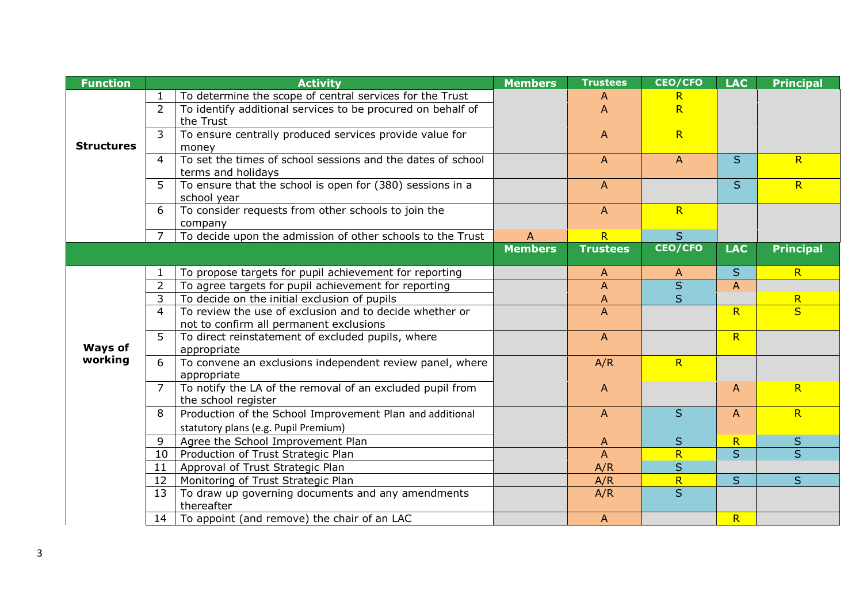| <b>Function</b>   |                | <b>Activity</b>                                                                                      | <b>Members</b> | <b>Trustees</b> | <b>CEO/CFO</b>          | <b>LAC</b>   | <b>Principal</b>        |
|-------------------|----------------|------------------------------------------------------------------------------------------------------|----------------|-----------------|-------------------------|--------------|-------------------------|
|                   |                | To determine the scope of central services for the Trust                                             |                | A               | R.                      |              |                         |
|                   | $\overline{2}$ | To identify additional services to be procured on behalf of                                          |                | A               | $\overline{\mathsf{R}}$ |              |                         |
|                   |                | the Trust                                                                                            |                |                 |                         |              |                         |
|                   | $\overline{3}$ | To ensure centrally produced services provide value for                                              |                | $\mathsf{A}$    | R                       |              |                         |
| <b>Structures</b> |                | money                                                                                                |                |                 |                         |              |                         |
|                   | 4              | To set the times of school sessions and the dates of school                                          |                | $\mathsf{A}$    | $\mathsf{A}$            | $\mathsf{S}$ | R                       |
|                   |                | terms and holidays                                                                                   |                |                 |                         |              |                         |
|                   | 5              | To ensure that the school is open for (380) sessions in a                                            |                | A               |                         | S            | R                       |
|                   |                | school year                                                                                          |                |                 |                         |              |                         |
|                   | 6              | To consider requests from other schools to join the                                                  |                | $\mathsf{A}$    | R                       |              |                         |
|                   |                | company                                                                                              |                |                 |                         |              |                         |
|                   | $\overline{7}$ | To decide upon the admission of other schools to the Trust                                           | $\overline{A}$ | R               | S                       |              |                         |
|                   |                |                                                                                                      | <b>Members</b> | <b>Trustees</b> | <b>CEO/CFO</b>          | <b>LAC</b>   | <b>Principal</b>        |
|                   |                |                                                                                                      |                |                 |                         | S            | R                       |
|                   | $2^{\circ}$    | To propose targets for pupil achievement for reporting                                               |                | A               | A<br>$\mathsf{S}$       |              |                         |
|                   | $\mathbf{3}$   | To agree targets for pupil achievement for reporting<br>To decide on the initial exclusion of pupils |                | A               | $\overline{\mathsf{s}}$ | A            | $\overline{\mathsf{R}}$ |
|                   | $\overline{4}$ | To review the use of exclusion and to decide whether or                                              |                | A<br>A          |                         | R            | $\overline{\mathbf{S}}$ |
|                   |                | not to confirm all permanent exclusions                                                              |                |                 |                         |              |                         |
|                   | 5              | To direct reinstatement of excluded pupils, where                                                    |                | $\mathsf{A}$    |                         | R            |                         |
| <b>Ways of</b>    |                | appropriate                                                                                          |                |                 |                         |              |                         |
| working           | 6              | To convene an exclusions independent review panel, where                                             |                | A/R             | R                       |              |                         |
|                   |                | appropriate                                                                                          |                |                 |                         |              |                         |
|                   | $\overline{7}$ | To notify the LA of the removal of an excluded pupil from                                            |                | $\mathsf{A}$    |                         | A            | R                       |
|                   |                | the school register                                                                                  |                |                 |                         |              |                         |
|                   | 8              | Production of the School Improvement Plan and additional                                             |                | $\mathsf{A}$    | S                       | $\mathsf{A}$ | R                       |
|                   |                | statutory plans (e.g. Pupil Premium)                                                                 |                |                 |                         |              |                         |
|                   | 9              | Agree the School Improvement Plan                                                                    |                | A               | S                       | R            | $\sf S$                 |
|                   | 10             | Production of Trust Strategic Plan                                                                   |                | A               | $\overline{\mathsf{R}}$ | $\mathsf{S}$ | $\overline{s}$          |
|                   | 11             | Approval of Trust Strategic Plan                                                                     |                | A/R             | S                       |              |                         |
|                   | 12             | Monitoring of Trust Strategic Plan                                                                   |                | A/R             | R                       | S            | $\mathsf{S}$            |
|                   | 13             | To draw up governing documents and any amendments                                                    |                | A/R             | $\overline{S}$          |              |                         |
|                   |                | thereafter                                                                                           |                |                 |                         |              |                         |
|                   | 14             | To appoint (and remove) the chair of an LAC                                                          |                | $\mathsf{A}$    |                         | R            |                         |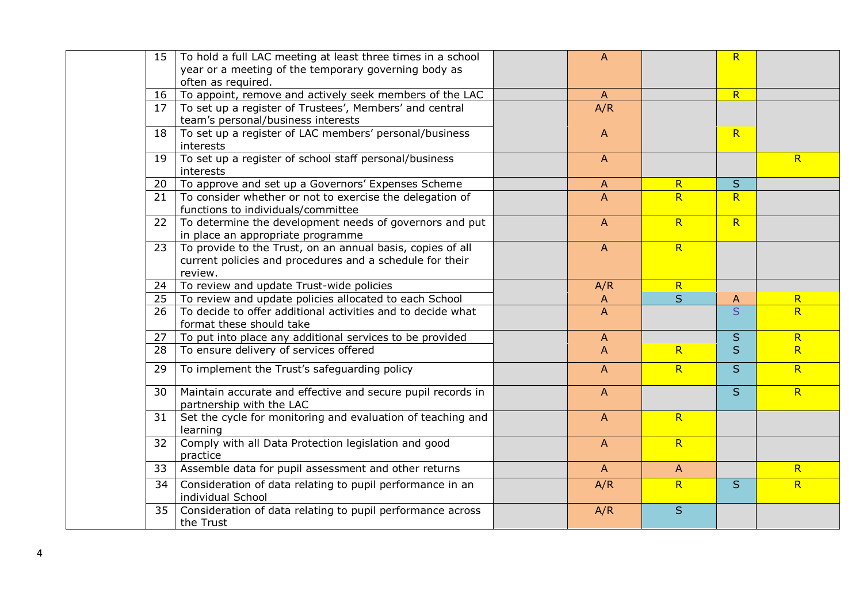| 15 | To hold a full LAC meeting at least three times in a school                             | $\overline{A}$ |                         | R                       |                         |
|----|-----------------------------------------------------------------------------------------|----------------|-------------------------|-------------------------|-------------------------|
|    | year or a meeting of the temporary governing body as                                    |                |                         |                         |                         |
|    | often as required.                                                                      |                |                         |                         |                         |
| 16 | To appoint, remove and actively seek members of the LAC                                 | $\mathsf{A}$   |                         | R                       |                         |
| 17 | To set up a register of Trustees', Members' and central                                 | A/R            |                         |                         |                         |
|    | team's personal/business interests                                                      |                |                         |                         |                         |
| 18 | To set up a register of LAC members' personal/business                                  | $\overline{A}$ |                         | R                       |                         |
|    | interests                                                                               |                |                         |                         |                         |
| 19 | To set up a register of school staff personal/business                                  | $\mathsf{A}$   |                         |                         | R                       |
|    | interests                                                                               |                |                         |                         |                         |
| 20 | To approve and set up a Governors' Expenses Scheme                                      | $\mathsf{A}$   | $\overline{\mathsf{R}}$ | S                       |                         |
| 21 | To consider whether or not to exercise the delegation of                                | $\mathsf{A}$   | R                       | R                       |                         |
|    | functions to individuals/committee                                                      |                |                         |                         |                         |
| 22 | To determine the development needs of governors and put                                 | $\overline{A}$ | R                       | R                       |                         |
|    | in place an appropriate programme                                                       |                |                         |                         |                         |
| 23 | To provide to the Trust, on an annual basis, copies of all                              | $\mathsf{A}$   | R                       |                         |                         |
|    | current policies and procedures and a schedule for their                                |                |                         |                         |                         |
|    | review.                                                                                 |                |                         |                         |                         |
| 24 | To review and update Trust-wide policies                                                | A/R            | R                       |                         |                         |
| 25 | To review and update policies allocated to each School                                  | $\mathsf{A}$   | $\overline{S}$          | A                       | $\overline{\mathsf{R}}$ |
| 26 | To decide to offer additional activities and to decide what                             | $\overline{A}$ |                         | $\overline{\mathsf{S}}$ | $\overline{R}$          |
|    | format these should take                                                                |                |                         |                         |                         |
| 27 | To put into place any additional services to be provided                                | $\mathsf{A}$   |                         | S                       | R                       |
| 28 | To ensure delivery of services offered                                                  | $\overline{A}$ | R                       | S                       | R                       |
| 29 | To implement the Trust's safeguarding policy                                            | $\overline{A}$ | R                       | S                       | R                       |
|    |                                                                                         |                |                         | S                       | R                       |
| 30 | Maintain accurate and effective and secure pupil records in<br>partnership with the LAC | $\mathsf{A}$   |                         |                         |                         |
| 31 | Set the cycle for monitoring and evaluation of teaching and                             | $\mathsf{A}$   | R                       |                         |                         |
|    | learning                                                                                |                |                         |                         |                         |
| 32 | Comply with all Data Protection legislation and good                                    | $\mathsf{A}$   | R                       |                         |                         |
|    | practice                                                                                |                |                         |                         |                         |
| 33 | Assemble data for pupil assessment and other returns                                    | $\mathsf{A}$   | $\overline{A}$          |                         | $\overline{R}$          |
| 34 | Consideration of data relating to pupil performance in an                               | A/R            | R                       | S                       | R                       |
|    | individual School                                                                       |                |                         |                         |                         |
| 35 | Consideration of data relating to pupil performance across                              | A/R            | S                       |                         |                         |
|    | the Trust                                                                               |                |                         |                         |                         |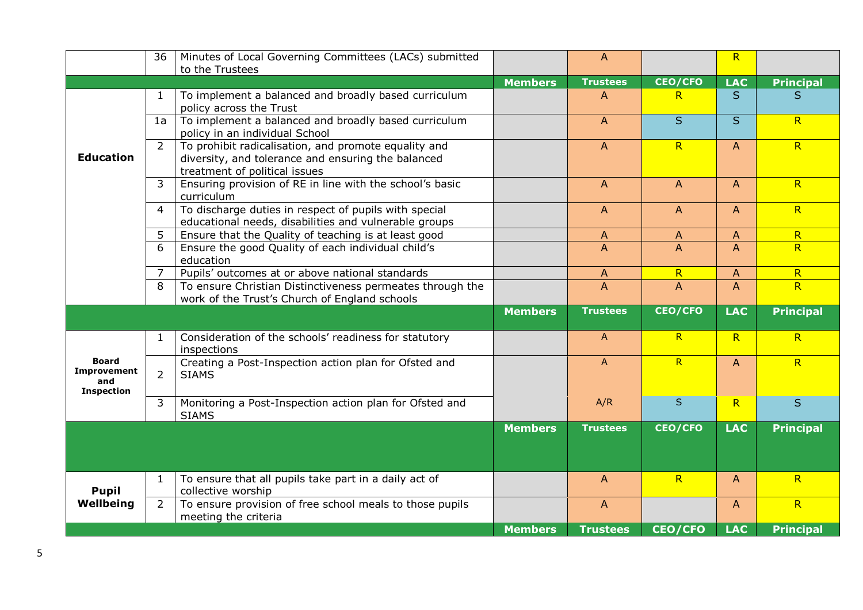|                    | 36                  | Minutes of Local Governing Committees (LACs) submitted                                                     |                | $\mathsf{A}$    |                | $\overline{\mathsf{R}}$ |                              |
|--------------------|---------------------|------------------------------------------------------------------------------------------------------------|----------------|-----------------|----------------|-------------------------|------------------------------|
|                    |                     | to the Trustees                                                                                            |                |                 |                |                         |                              |
|                    |                     |                                                                                                            | <b>Members</b> | <b>Trustees</b> | <b>CEO/CFO</b> | <b>LAC</b>              | <b>Principal</b>             |
|                    | 1                   | To implement a balanced and broadly based curriculum                                                       |                | A               | R.             | S.                      | S                            |
|                    |                     | policy across the Trust                                                                                    |                |                 | $\overline{S}$ |                         |                              |
|                    | 1a                  | To implement a balanced and broadly based curriculum<br>policy in an individual School                     |                | A               |                | S                       | R                            |
|                    | $\overline{2}$      | To prohibit radicalisation, and promote equality and                                                       |                | A               | R              | $\overline{A}$          | R                            |
| <b>Education</b>   |                     | diversity, and tolerance and ensuring the balanced                                                         |                |                 |                |                         |                              |
|                    |                     | treatment of political issues                                                                              |                |                 |                |                         |                              |
|                    | 3                   | Ensuring provision of RE in line with the school's basic                                                   |                | $\mathsf{A}$    | $\overline{A}$ | $\mathsf{A}$            | R                            |
|                    |                     | curriculum                                                                                                 |                |                 |                |                         |                              |
|                    | $\overline{4}$      | To discharge duties in respect of pupils with special                                                      |                | $\overline{A}$  | $\mathsf{A}$   | $\overline{A}$          | R                            |
|                    |                     | educational needs, disabilities and vulnerable groups                                                      |                |                 |                |                         |                              |
|                    | 5                   | Ensure that the Quality of teaching is at least good                                                       |                | A               | A              | $\mathsf{A}$            | R                            |
|                    | 6                   | Ensure the good Quality of each individual child's                                                         |                | A               | $\overline{A}$ | $\overline{A}$          | R                            |
|                    |                     | education                                                                                                  |                |                 |                |                         |                              |
|                    | $\overline{7}$<br>8 | Pupils' outcomes at or above national standards                                                            |                | A               | R              | $\overline{A}$          | $\overline{\mathsf{R}}$<br>R |
|                    |                     | To ensure Christian Distinctiveness permeates through the<br>work of the Trust's Church of England schools |                | A               | $\overline{A}$ | $\overline{A}$          |                              |
|                    |                     |                                                                                                            | <b>Members</b> | <b>Trustees</b> | <b>CEO/CFO</b> | <b>LAC</b>              | <b>Principal</b>             |
|                    |                     |                                                                                                            |                |                 |                |                         |                              |
|                    | 1                   | Consideration of the schools' readiness for statutory<br>inspections                                       |                | $\mathsf{A}$    | R              | R                       | R                            |
| <b>Board</b>       |                     | Creating a Post-Inspection action plan for Ofsted and                                                      |                | $\mathsf{A}$    | R              | $\overline{A}$          | R                            |
| Improvement<br>and | $\overline{2}$      | <b>SIAMS</b>                                                                                               |                |                 |                |                         |                              |
| <b>Inspection</b>  |                     |                                                                                                            |                |                 |                |                         |                              |
|                    | 3                   | Monitoring a Post-Inspection action plan for Ofsted and<br><b>SIAMS</b>                                    |                | A/R             | S              | R                       | S                            |
|                    |                     |                                                                                                            | <b>Members</b> | <b>Trustees</b> | <b>CEO/CFO</b> | <b>LAC</b>              | <b>Principal</b>             |
|                    |                     |                                                                                                            |                |                 |                |                         |                              |
|                    |                     |                                                                                                            |                |                 |                |                         |                              |
|                    | 1                   | To ensure that all pupils take part in a daily act of                                                      |                | A               | R              | A                       | R                            |
| <b>Pupil</b>       |                     | collective worship                                                                                         |                |                 |                |                         |                              |
| Wellbeing          | $\overline{2}$      | To ensure provision of free school meals to those pupils                                                   |                | A               |                | $\overline{A}$          | R                            |
|                    |                     | meeting the criteria                                                                                       |                |                 |                |                         |                              |
|                    |                     |                                                                                                            | <b>Members</b> | <b>Trustees</b> | <b>CEO/CFO</b> | <b>LAC</b>              | <b>Principal</b>             |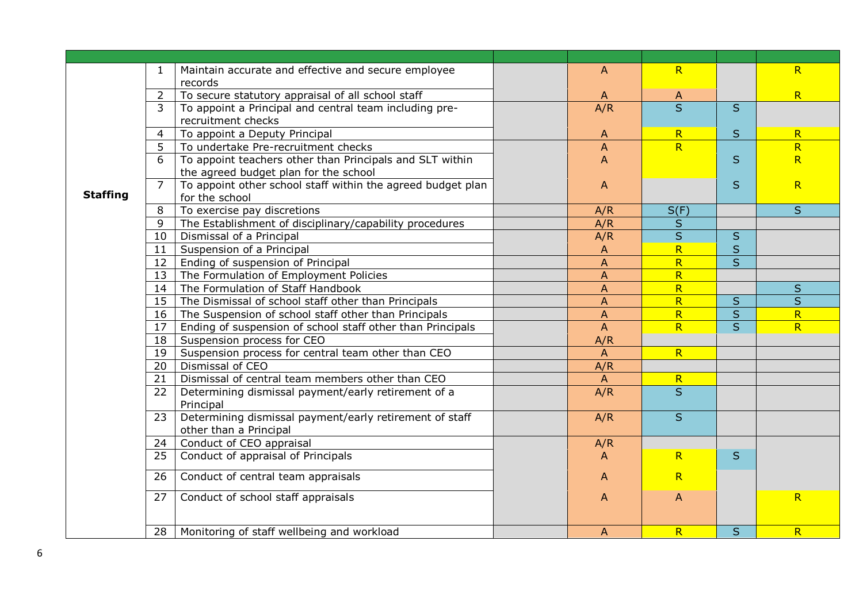|                 | 1              | Maintain accurate and effective and secure employee         | A                         | R                       |         | R                       |
|-----------------|----------------|-------------------------------------------------------------|---------------------------|-------------------------|---------|-------------------------|
|                 |                | records                                                     |                           |                         |         |                         |
|                 | $\overline{2}$ | To secure statutory appraisal of all school staff           | A                         | A                       |         | R                       |
|                 | 3              | To appoint a Principal and central team including pre-      | A/R                       | $\overline{\mathsf{s}}$ | S       |                         |
|                 |                | recruitment checks                                          |                           |                         |         |                         |
|                 | 4              | To appoint a Deputy Principal                               | A                         | $\mathsf{R}$            | S       | $\overline{\mathsf{R}}$ |
|                 | 5              | To undertake Pre-recruitment checks                         | $\boldsymbol{\mathsf{A}}$ | R                       |         | $\overline{\mathsf{R}}$ |
|                 | 6              | To appoint teachers other than Principals and SLT within    | A                         |                         | S       | R                       |
|                 |                | the agreed budget plan for the school                       |                           |                         |         |                         |
|                 | $\overline{7}$ | To appoint other school staff within the agreed budget plan | A                         |                         | S       | R                       |
| <b>Staffing</b> |                | for the school                                              |                           |                         |         |                         |
|                 | 8              | To exercise pay discretions                                 | A/R                       | S(F)                    |         | S                       |
|                 | 9              | The Establishment of disciplinary/capability procedures     | A/R                       | S                       |         |                         |
|                 | 10             | Dismissal of a Principal                                    | A/R                       | $\mathsf{S}$            | S       |                         |
|                 | 11             | Suspension of a Principal                                   | A                         | R                       | S       |                         |
|                 | 12             | Ending of suspension of Principal                           | A                         | $\overline{\mathsf{R}}$ | S       |                         |
|                 | 13             | The Formulation of Employment Policies                      | A                         | $\overline{\mathsf{R}}$ |         |                         |
|                 | 14             | The Formulation of Staff Handbook                           | $\boldsymbol{\mathsf{A}}$ | $\overline{\mathsf{R}}$ |         | $\sf S$                 |
|                 | 15             | The Dismissal of school staff other than Principals         | $\boldsymbol{\mathsf{A}}$ | R                       | $\sf S$ | S                       |
|                 | 16             | The Suspension of school staff other than Principals        | $\boldsymbol{\mathsf{A}}$ | R                       | S       | R                       |
|                 | 17             | Ending of suspension of school staff other than Principals  | $\boldsymbol{\mathsf{A}}$ | R                       | S       | R                       |
|                 | 18             | Suspension process for CEO                                  | A/R                       |                         |         |                         |
|                 | 19             | Suspension process for central team other than CEO          | A                         | R                       |         |                         |
|                 | 20             | Dismissal of CEO                                            | A/R                       |                         |         |                         |
|                 | 21             | Dismissal of central team members other than CEO            | $\mathsf{A}$              | $\mathsf{R}$            |         |                         |
|                 | 22             | Determining dismissal payment/early retirement of a         | A/R                       | $\overline{S}$          |         |                         |
|                 |                | Principal                                                   |                           |                         |         |                         |
|                 | 23             | Determining dismissal payment/early retirement of staff     | A/R                       | S                       |         |                         |
|                 |                | other than a Principal                                      |                           |                         |         |                         |
|                 | 24             | Conduct of CEO appraisal                                    | A/R                       |                         |         |                         |
|                 | 25             | Conduct of appraisal of Principals                          | A                         | R                       | S       |                         |
|                 | 26             | Conduct of central team appraisals                          | A                         | R                       |         |                         |
|                 |                |                                                             |                           |                         |         |                         |
|                 | 27             | Conduct of school staff appraisals                          | A                         | A                       |         | R                       |
|                 |                |                                                             |                           |                         |         |                         |
|                 | 28             | Monitoring of staff wellbeing and workload                  | A                         | R                       | S       | R                       |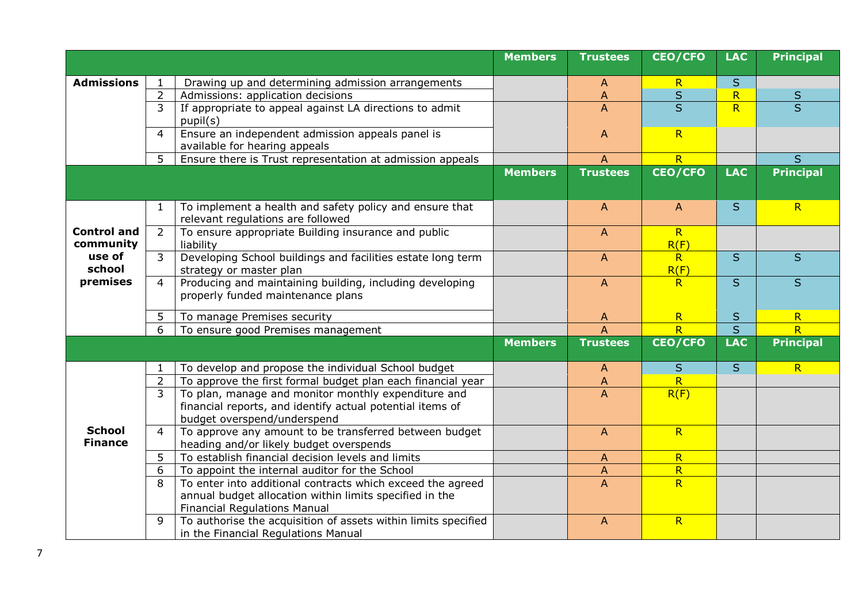|                                 |                |                                                                                              | <b>Members</b> | <b>Trustees</b> | <b>CEO/CFO</b>                          | <b>LAC</b>              | <b>Principal</b> |
|---------------------------------|----------------|----------------------------------------------------------------------------------------------|----------------|-----------------|-----------------------------------------|-------------------------|------------------|
| <b>Admissions</b>               |                | Drawing up and determining admission arrangements                                            |                | A               | $\mathsf{R}$                            | S                       |                  |
|                                 | $\overline{2}$ | Admissions: application decisions                                                            |                | A               | $\mathsf{S}$                            | $\overline{\mathsf{R}}$ | $\sf S$          |
|                                 | $\overline{3}$ | If appropriate to appeal against LA directions to admit                                      |                | A               | $\overline{S}$                          | R                       | $\overline{S}$   |
|                                 |                | pupil(s)                                                                                     |                |                 |                                         |                         |                  |
|                                 | $\overline{4}$ | Ensure an independent admission appeals panel is                                             |                | A               | R                                       |                         |                  |
|                                 |                | available for hearing appeals                                                                |                |                 |                                         |                         |                  |
|                                 | 5              | Ensure there is Trust representation at admission appeals                                    |                | $\overline{A}$  | R                                       |                         | S                |
|                                 |                |                                                                                              | <b>Members</b> | <b>Trustees</b> | <b>CEO/CFO</b>                          | <b>LAC</b>              | <b>Principal</b> |
|                                 |                |                                                                                              |                |                 |                                         |                         |                  |
|                                 | 1              | To implement a health and safety policy and ensure that                                      |                | A               | A                                       | S.                      | R                |
|                                 |                | relevant regulations are followed                                                            |                |                 |                                         |                         |                  |
| <b>Control and</b><br>community | $\overline{2}$ | To ensure appropriate Building insurance and public<br>liability                             |                | A               | R<br>R(F)                               |                         |                  |
| use of                          | $\mathsf{3}$   | Developing School buildings and facilities estate long term                                  |                | $\overline{A}$  | R                                       | S                       | S                |
| school                          |                | strategy or master plan                                                                      |                |                 | R(F)                                    |                         |                  |
| premises                        | $\overline{4}$ | Producing and maintaining building, including developing                                     |                | A               | R                                       | S                       | S                |
|                                 |                | properly funded maintenance plans                                                            |                |                 |                                         |                         |                  |
|                                 | 5              | To manage Premises security                                                                  |                | A               | R                                       | S                       | R                |
|                                 | 6              | To ensure good Premises management                                                           |                | A               | R.                                      | $\overline{S}$          | $\overline{R}$   |
|                                 |                |                                                                                              | <b>Members</b> | <b>Trustees</b> | <b>CEO/CFO</b>                          | <b>LAC</b>              | <b>Principal</b> |
|                                 |                |                                                                                              |                |                 |                                         |                         |                  |
|                                 |                | To develop and propose the individual School budget                                          |                | A               | S                                       | S                       | R                |
|                                 | $\overline{2}$ | To approve the first formal budget plan each financial year                                  |                | $\overline{A}$  | $\overline{R}$                          |                         |                  |
|                                 | $\overline{3}$ | To plan, manage and monitor monthly expenditure and                                          |                | A               | R(F)                                    |                         |                  |
|                                 |                | financial reports, and identify actual potential items of                                    |                |                 |                                         |                         |                  |
| <b>School</b>                   |                | budget overspend/underspend                                                                  |                |                 |                                         |                         |                  |
| <b>Finance</b>                  | $\overline{4}$ | To approve any amount to be transferred between budget                                       |                | $\mathsf{A}$    | R                                       |                         |                  |
|                                 | 5              | heading and/or likely budget overspends<br>To establish financial decision levels and limits |                |                 |                                         |                         |                  |
|                                 | 6              | To appoint the internal auditor for the School                                               |                | $\mathsf{A}$    | $\mathsf{R}$<br>$\overline{\mathsf{R}}$ |                         |                  |
|                                 | 8              | To enter into additional contracts which exceed the agreed                                   |                | A<br>A          | R                                       |                         |                  |
|                                 |                | annual budget allocation within limits specified in the                                      |                |                 |                                         |                         |                  |
|                                 |                | <b>Financial Regulations Manual</b>                                                          |                |                 |                                         |                         |                  |
|                                 | 9              | To authorise the acquisition of assets within limits specified                               |                | $\mathsf{A}$    | R                                       |                         |                  |
|                                 |                | in the Financial Regulations Manual                                                          |                |                 |                                         |                         |                  |